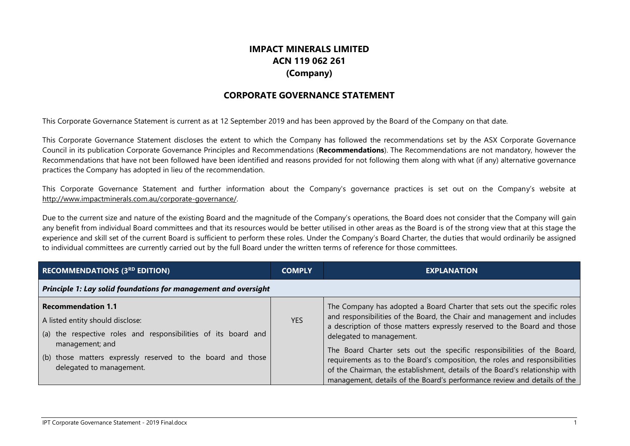## **IMPACT MINERALS LIMITED ACN 119 062 261 (Company)**

## **CORPORATE GOVERNANCE STATEMENT**

This Corporate Governance Statement is current as at 12 September 2019 and has been approved by the Board of the Company on that date.

This Corporate Governance Statement discloses the extent to which the Company has followed the recommendations set by the ASX Corporate Governance Council in its publication Corporate Governance Principles and Recommendations (**Recommendations**). The Recommendations are not mandatory, however the Recommendations that have not been followed have been identified and reasons provided for not following them along with what (if any) alternative governance practices the Company has adopted in lieu of the recommendation.

This Corporate Governance Statement and further information about the Company's governance practices is set out on the Company's website at http://www.impactminerals.com.au/corporate-governance/.

Due to the current size and nature of the existing Board and the magnitude of the Company's operations, the Board does not consider that the Company will gain any benefit from individual Board committees and that its resources would be better utilised in other areas as the Board is of the strong view that at this stage the experience and skill set of the current Board is sufficient to perform these roles. Under the Company's Board Charter, the duties that would ordinarily be assigned to individual committees are currently carried out by the full Board under the written terms of reference for those committees.

| <b>RECOMMENDATIONS (3RD EDITION)</b>                                                                                                               | <b>COMPLY</b> | <b>EXPLANATION</b>                                                                                                                                                                                                                                                                                               |  |
|----------------------------------------------------------------------------------------------------------------------------------------------------|---------------|------------------------------------------------------------------------------------------------------------------------------------------------------------------------------------------------------------------------------------------------------------------------------------------------------------------|--|
| Principle 1: Lay solid foundations for management and oversight                                                                                    |               |                                                                                                                                                                                                                                                                                                                  |  |
| <b>Recommendation 1.1</b><br>A listed entity should disclose:<br>(a) the respective roles and responsibilities of its board and<br>management; and | <b>YES</b>    | The Company has adopted a Board Charter that sets out the specific roles<br>and responsibilities of the Board, the Chair and management and includes<br>a description of those matters expressly reserved to the Board and those<br>delegated to management.                                                     |  |
| (b) those matters expressly reserved to the board and those<br>delegated to management.                                                            |               | The Board Charter sets out the specific responsibilities of the Board,<br>requirements as to the Board's composition, the roles and responsibilities<br>of the Chairman, the establishment, details of the Board's relationship with<br>management, details of the Board's performance review and details of the |  |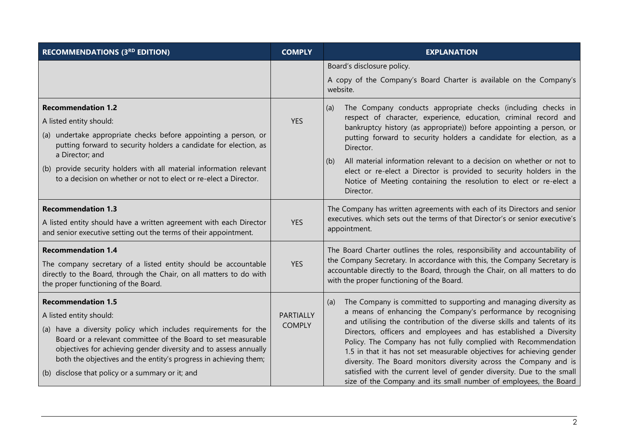| <b>RECOMMENDATIONS (3RD EDITION)</b>                                                                                                                                                                                                                                                                                                                                                | <b>COMPLY</b>              | <b>EXPLANATION</b>                                                                                                                                                                                                                                                                                                                                                                                                                                                                                                                                                                                                                                     |
|-------------------------------------------------------------------------------------------------------------------------------------------------------------------------------------------------------------------------------------------------------------------------------------------------------------------------------------------------------------------------------------|----------------------------|--------------------------------------------------------------------------------------------------------------------------------------------------------------------------------------------------------------------------------------------------------------------------------------------------------------------------------------------------------------------------------------------------------------------------------------------------------------------------------------------------------------------------------------------------------------------------------------------------------------------------------------------------------|
|                                                                                                                                                                                                                                                                                                                                                                                     |                            | Board's disclosure policy.<br>A copy of the Company's Board Charter is available on the Company's<br>website.                                                                                                                                                                                                                                                                                                                                                                                                                                                                                                                                          |
| <b>Recommendation 1.2</b><br>A listed entity should:<br>(a) undertake appropriate checks before appointing a person, or<br>putting forward to security holders a candidate for election, as<br>a Director; and<br>(b) provide security holders with all material information relevant<br>to a decision on whether or not to elect or re-elect a Director.                           | <b>YES</b>                 | The Company conducts appropriate checks (including checks in<br>(a)<br>respect of character, experience, education, criminal record and<br>bankruptcy history (as appropriate)) before appointing a person, or<br>putting forward to security holders a candidate for election, as a<br>Director.<br>All material information relevant to a decision on whether or not to<br>(b)<br>elect or re-elect a Director is provided to security holders in the<br>Notice of Meeting containing the resolution to elect or re-elect a<br>Director.                                                                                                             |
| <b>Recommendation 1.3</b><br>A listed entity should have a written agreement with each Director<br>and senior executive setting out the terms of their appointment.                                                                                                                                                                                                                 | <b>YES</b>                 | The Company has written agreements with each of its Directors and senior<br>executives, which sets out the terms of that Director's or senior executive's<br>appointment.                                                                                                                                                                                                                                                                                                                                                                                                                                                                              |
| <b>Recommendation 1.4</b><br>The company secretary of a listed entity should be accountable<br>directly to the Board, through the Chair, on all matters to do with<br>the proper functioning of the Board.                                                                                                                                                                          | <b>YES</b>                 | The Board Charter outlines the roles, responsibility and accountability of<br>the Company Secretary. In accordance with this, the Company Secretary is<br>accountable directly to the Board, through the Chair, on all matters to do<br>with the proper functioning of the Board.                                                                                                                                                                                                                                                                                                                                                                      |
| <b>Recommendation 1.5</b><br>A listed entity should:<br>(a) have a diversity policy which includes requirements for the<br>Board or a relevant committee of the Board to set measurable<br>objectives for achieving gender diversity and to assess annually<br>both the objectives and the entity's progress in achieving them;<br>(b) disclose that policy or a summary or it; and | PARTIALLY<br><b>COMPLY</b> | The Company is committed to supporting and managing diversity as<br>(a)<br>a means of enhancing the Company's performance by recognising<br>and utilising the contribution of the diverse skills and talents of its<br>Directors, officers and employees and has established a Diversity<br>Policy. The Company has not fully complied with Recommendation<br>1.5 in that it has not set measurable objectives for achieving gender<br>diversity. The Board monitors diversity across the Company and is<br>satisfied with the current level of gender diversity. Due to the small<br>size of the Company and its small number of employees, the Board |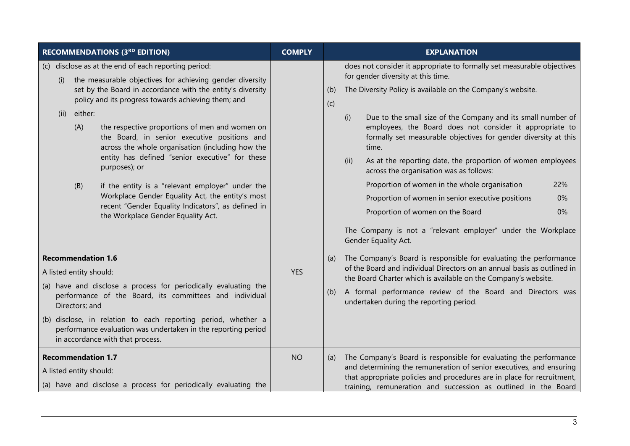| <b>RECOMMENDATIONS (3RD EDITION)</b>                                                                                                                                                                                                                                                                                                                                                                                                                                                                                                                                                                                                                                                                        | <b>COMPLY</b> | <b>EXPLANATION</b>                                                                                                                                                                                                                                                                                                                                                                                                                                                                                                                                                                                                                                                                                                                                                              |
|-------------------------------------------------------------------------------------------------------------------------------------------------------------------------------------------------------------------------------------------------------------------------------------------------------------------------------------------------------------------------------------------------------------------------------------------------------------------------------------------------------------------------------------------------------------------------------------------------------------------------------------------------------------------------------------------------------------|---------------|---------------------------------------------------------------------------------------------------------------------------------------------------------------------------------------------------------------------------------------------------------------------------------------------------------------------------------------------------------------------------------------------------------------------------------------------------------------------------------------------------------------------------------------------------------------------------------------------------------------------------------------------------------------------------------------------------------------------------------------------------------------------------------|
| (c) disclose as at the end of each reporting period:<br>the measurable objectives for achieving gender diversity<br>(i)<br>set by the Board in accordance with the entity's diversity<br>policy and its progress towards achieving them; and<br>either:<br>(ii)<br>(A)<br>the respective proportions of men and women on<br>the Board, in senior executive positions and<br>across the whole organisation (including how the<br>entity has defined "senior executive" for these<br>purposes); or<br>if the entity is a "relevant employer" under the<br>(B)<br>Workplace Gender Equality Act, the entity's most<br>recent "Gender Equality Indicators", as defined in<br>the Workplace Gender Equality Act. |               | does not consider it appropriate to formally set measurable objectives<br>for gender diversity at this time.<br>The Diversity Policy is available on the Company's website.<br>(b)<br>(c)<br>Due to the small size of the Company and its small number of<br>(i)<br>employees, the Board does not consider it appropriate to<br>formally set measurable objectives for gender diversity at this<br>time.<br>As at the reporting date, the proportion of women employees<br>(ii)<br>across the organisation was as follows:<br>Proportion of women in the whole organisation<br>22%<br>Proportion of women in senior executive positions<br>0%<br>Proportion of women on the Board<br>0%<br>The Company is not a "relevant employer" under the Workplace<br>Gender Equality Act. |
| <b>Recommendation 1.6</b><br>A listed entity should:<br>(a) have and disclose a process for periodically evaluating the<br>performance of the Board, its committees and individual<br>Directors; and<br>(b) disclose, in relation to each reporting period, whether a<br>performance evaluation was undertaken in the reporting period<br>in accordance with that process.                                                                                                                                                                                                                                                                                                                                  | <b>YES</b>    | The Company's Board is responsible for evaluating the performance<br>(a)<br>of the Board and individual Directors on an annual basis as outlined in<br>the Board Charter which is available on the Company's website.<br>A formal performance review of the Board and Directors was<br>(b)<br>undertaken during the reporting period.                                                                                                                                                                                                                                                                                                                                                                                                                                           |
| <b>Recommendation 1.7</b><br>A listed entity should:<br>(a) have and disclose a process for periodically evaluating the                                                                                                                                                                                                                                                                                                                                                                                                                                                                                                                                                                                     | <b>NO</b>     | The Company's Board is responsible for evaluating the performance<br>(a)<br>and determining the remuneration of senior executives, and ensuring<br>that appropriate policies and procedures are in place for recruitment,<br>training, remuneration and succession as outlined in the Board                                                                                                                                                                                                                                                                                                                                                                                                                                                                                     |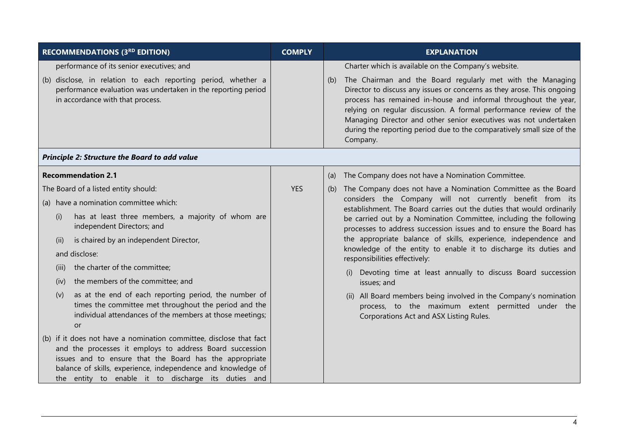| <b>RECOMMENDATIONS (3RD EDITION)</b>                                                                                                                                                                                                                                                                                                                                                                                                                                                                                                  | <b>COMPLY</b> | <b>EXPLANATION</b>                                                                                                                                                                                                                                                                                                                                                                                                                                                                                                                                                                                                                                                                                                                                                                    |
|---------------------------------------------------------------------------------------------------------------------------------------------------------------------------------------------------------------------------------------------------------------------------------------------------------------------------------------------------------------------------------------------------------------------------------------------------------------------------------------------------------------------------------------|---------------|---------------------------------------------------------------------------------------------------------------------------------------------------------------------------------------------------------------------------------------------------------------------------------------------------------------------------------------------------------------------------------------------------------------------------------------------------------------------------------------------------------------------------------------------------------------------------------------------------------------------------------------------------------------------------------------------------------------------------------------------------------------------------------------|
| performance of its senior executives; and                                                                                                                                                                                                                                                                                                                                                                                                                                                                                             |               | Charter which is available on the Company's website.                                                                                                                                                                                                                                                                                                                                                                                                                                                                                                                                                                                                                                                                                                                                  |
| (b) disclose, in relation to each reporting period, whether a<br>performance evaluation was undertaken in the reporting period<br>in accordance with that process.                                                                                                                                                                                                                                                                                                                                                                    |               | The Chairman and the Board regularly met with the Managing<br>(b)<br>Director to discuss any issues or concerns as they arose. This ongoing<br>process has remained in-house and informal throughout the year,<br>relying on regular discussion. A formal performance review of the<br>Managing Director and other senior executives was not undertaken<br>during the reporting period due to the comparatively small size of the<br>Company.                                                                                                                                                                                                                                                                                                                                         |
| <b>Principle 2: Structure the Board to add value</b>                                                                                                                                                                                                                                                                                                                                                                                                                                                                                  |               |                                                                                                                                                                                                                                                                                                                                                                                                                                                                                                                                                                                                                                                                                                                                                                                       |
| <b>Recommendation 2.1</b>                                                                                                                                                                                                                                                                                                                                                                                                                                                                                                             |               | The Company does not have a Nomination Committee.<br>(a)                                                                                                                                                                                                                                                                                                                                                                                                                                                                                                                                                                                                                                                                                                                              |
| The Board of a listed entity should:<br>(a) have a nomination committee which:<br>has at least three members, a majority of whom are<br>(i)<br>independent Directors; and<br>is chaired by an independent Director,<br>(ii)<br>and disclose:<br>the charter of the committee;<br>(iii)<br>the members of the committee; and<br>(iv)<br>as at the end of each reporting period, the number of<br>(v)<br>times the committee met throughout the period and the<br>individual attendances of the members at those meetings;<br><b>or</b> | <b>YES</b>    | The Company does not have a Nomination Committee as the Board<br>(b)<br>considers the Company will not currently benefit from its<br>establishment. The Board carries out the duties that would ordinarily<br>be carried out by a Nomination Committee, including the following<br>processes to address succession issues and to ensure the Board has<br>the appropriate balance of skills, experience, independence and<br>knowledge of the entity to enable it to discharge its duties and<br>responsibilities effectively:<br>(i) Devoting time at least annually to discuss Board succession<br>issues; and<br>(ii) All Board members being involved in the Company's nomination<br>process, to the maximum extent permitted under the<br>Corporations Act and ASX Listing Rules. |
| (b) if it does not have a nomination committee, disclose that fact<br>and the processes it employs to address Board succession<br>issues and to ensure that the Board has the appropriate<br>balance of skills, experience, independence and knowledge of<br>the entity to enable it to discharge its duties and                                                                                                                                                                                                                      |               |                                                                                                                                                                                                                                                                                                                                                                                                                                                                                                                                                                                                                                                                                                                                                                                       |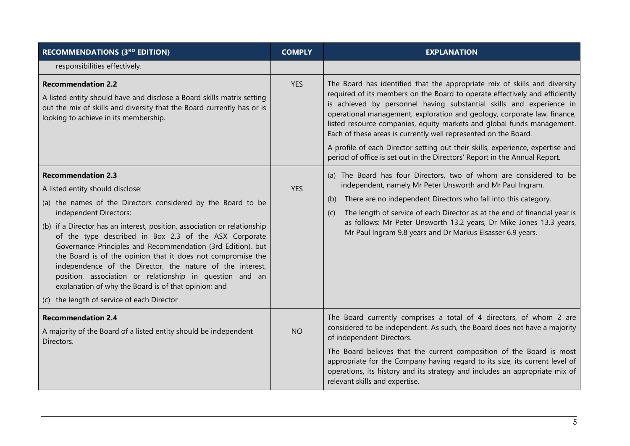| <b>RECOMMENDATIONS (3RD EDITION)</b>                                                                                                                                                                                                                                                                                                                                                                                                                                                                                                                                                                                                                      | <b>COMPLY</b> | <b>EXPLANATION</b>                                                                                                                                                                                                                                                                                                                                                                                                                                                                                                                                                                                                        |
|-----------------------------------------------------------------------------------------------------------------------------------------------------------------------------------------------------------------------------------------------------------------------------------------------------------------------------------------------------------------------------------------------------------------------------------------------------------------------------------------------------------------------------------------------------------------------------------------------------------------------------------------------------------|---------------|---------------------------------------------------------------------------------------------------------------------------------------------------------------------------------------------------------------------------------------------------------------------------------------------------------------------------------------------------------------------------------------------------------------------------------------------------------------------------------------------------------------------------------------------------------------------------------------------------------------------------|
| responsibilities effectively.                                                                                                                                                                                                                                                                                                                                                                                                                                                                                                                                                                                                                             |               |                                                                                                                                                                                                                                                                                                                                                                                                                                                                                                                                                                                                                           |
| <b>Recommendation 2.2</b><br>A listed entity should have and disclose a Board skills matrix setting<br>out the mix of skills and diversity that the Board currently has or is<br>looking to achieve in its membership.                                                                                                                                                                                                                                                                                                                                                                                                                                    | <b>YES</b>    | The Board has identified that the appropriate mix of skills and diversity<br>required of its members on the Board to operate effectively and efficiently<br>is achieved by personnel having substantial skills and experience in<br>operational management, exploration and geology, corporate law, finance,<br>listed resource companies, equity markets and global funds management.<br>Each of these areas is currently well represented on the Board.<br>A profile of each Director setting out their skills, experience, expertise and<br>period of office is set out in the Directors' Report in the Annual Report. |
| <b>Recommendation 2.3</b><br>A listed entity should disclose:<br>(a) the names of the Directors considered by the Board to be<br>independent Directors;<br>(b) if a Director has an interest, position, association or relationship<br>of the type described in Box 2.3 of the ASX Corporate<br>Governance Principles and Recommendation (3rd Edition), but<br>the Board is of the opinion that it does not compromise the<br>independence of the Director, the nature of the interest,<br>position, association or relationship in question and an<br>explanation of why the Board is of that opinion; and<br>(c) the length of service of each Director | <b>YES</b>    | (a) The Board has four Directors, two of whom are considered to be<br>independent, namely Mr Peter Unsworth and Mr Paul Ingram.<br>There are no independent Directors who fall into this category.<br>(b)<br>The length of service of each Director as at the end of financial year is<br>(c)<br>as follows: Mr Peter Unsworth 13.2 years, Dr Mike Jones 13.3 years,<br>Mr Paul Ingram 9.8 years and Dr Markus Elsasser 6.9 years.                                                                                                                                                                                        |
| <b>Recommendation 2.4</b><br>A majority of the Board of a listed entity should be independent<br>Directors.                                                                                                                                                                                                                                                                                                                                                                                                                                                                                                                                               | <b>NO</b>     | The Board currently comprises a total of 4 directors, of whom 2 are<br>considered to be independent. As such, the Board does not have a majority<br>of independent Directors.<br>The Board believes that the current composition of the Board is most<br>appropriate for the Company having regard to its size, its current level of<br>operations, its history and its strategy and includes an appropriate mix of<br>relevant skills and expertise.                                                                                                                                                                     |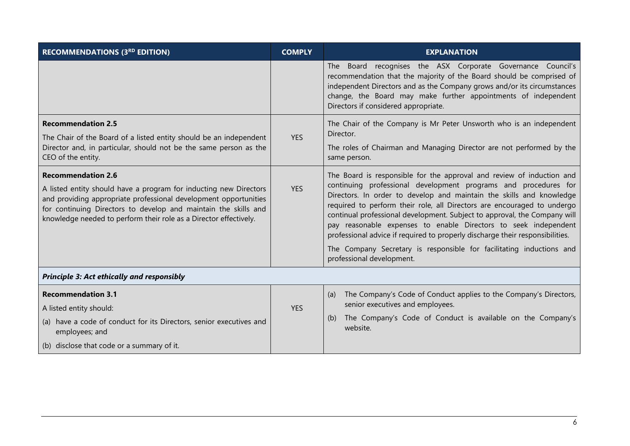| <b>RECOMMENDATIONS (3RD EDITION)</b>                                                                                                                                                                                                                                                                       | <b>COMPLY</b> | <b>EXPLANATION</b>                                                                                                                                                                                                                                                                                                                                                                                                                                                                                                                                                                                                                |
|------------------------------------------------------------------------------------------------------------------------------------------------------------------------------------------------------------------------------------------------------------------------------------------------------------|---------------|-----------------------------------------------------------------------------------------------------------------------------------------------------------------------------------------------------------------------------------------------------------------------------------------------------------------------------------------------------------------------------------------------------------------------------------------------------------------------------------------------------------------------------------------------------------------------------------------------------------------------------------|
|                                                                                                                                                                                                                                                                                                            |               | The Board recognises the ASX Corporate Governance Council's<br>recommendation that the majority of the Board should be comprised of<br>independent Directors and as the Company grows and/or its circumstances<br>change, the Board may make further appointments of independent<br>Directors if considered appropriate.                                                                                                                                                                                                                                                                                                          |
| <b>Recommendation 2.5</b><br>The Chair of the Board of a listed entity should be an independent                                                                                                                                                                                                            | <b>YES</b>    | The Chair of the Company is Mr Peter Unsworth who is an independent<br>Director.                                                                                                                                                                                                                                                                                                                                                                                                                                                                                                                                                  |
| Director and, in particular, should not be the same person as the<br>CEO of the entity.                                                                                                                                                                                                                    |               | The roles of Chairman and Managing Director are not performed by the<br>same person.                                                                                                                                                                                                                                                                                                                                                                                                                                                                                                                                              |
| <b>Recommendation 2.6</b><br>A listed entity should have a program for inducting new Directors<br>and providing appropriate professional development opportunities<br>for continuing Directors to develop and maintain the skills and<br>knowledge needed to perform their role as a Director effectively. | <b>YES</b>    | The Board is responsible for the approval and review of induction and<br>continuing professional development programs and procedures for<br>Directors. In order to develop and maintain the skills and knowledge<br>required to perform their role, all Directors are encouraged to undergo<br>continual professional development. Subject to approval, the Company will<br>pay reasonable expenses to enable Directors to seek independent<br>professional advice if required to properly discharge their responsibilities.<br>The Company Secretary is responsible for facilitating inductions and<br>professional development. |
| <b>Principle 3: Act ethically and responsibly</b>                                                                                                                                                                                                                                                          |               |                                                                                                                                                                                                                                                                                                                                                                                                                                                                                                                                                                                                                                   |
| <b>Recommendation 3.1</b>                                                                                                                                                                                                                                                                                  |               | The Company's Code of Conduct applies to the Company's Directors,<br>(a)                                                                                                                                                                                                                                                                                                                                                                                                                                                                                                                                                          |
| A listed entity should:                                                                                                                                                                                                                                                                                    | <b>YES</b>    | senior executives and employees.                                                                                                                                                                                                                                                                                                                                                                                                                                                                                                                                                                                                  |
| (a) have a code of conduct for its Directors, senior executives and<br>employees; and                                                                                                                                                                                                                      |               | The Company's Code of Conduct is available on the Company's<br>(b)<br>website.                                                                                                                                                                                                                                                                                                                                                                                                                                                                                                                                                    |
| (b) disclose that code or a summary of it.                                                                                                                                                                                                                                                                 |               |                                                                                                                                                                                                                                                                                                                                                                                                                                                                                                                                                                                                                                   |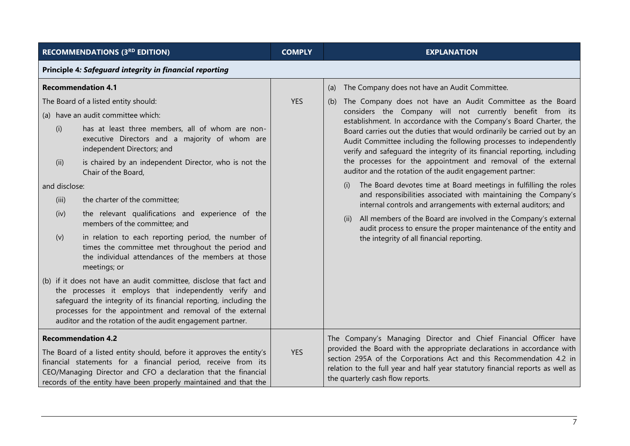| <b>RECOMMENDATIONS (3RD EDITION)</b>                                                                                                                                                                                                                                                                                        | <b>COMPLY</b> | <b>EXPLANATION</b>                                                                                                                                                                                                                                                                                                                       |  |
|-----------------------------------------------------------------------------------------------------------------------------------------------------------------------------------------------------------------------------------------------------------------------------------------------------------------------------|---------------|------------------------------------------------------------------------------------------------------------------------------------------------------------------------------------------------------------------------------------------------------------------------------------------------------------------------------------------|--|
| Principle 4: Safeguard integrity in financial reporting                                                                                                                                                                                                                                                                     |               |                                                                                                                                                                                                                                                                                                                                          |  |
| <b>Recommendation 4.1</b>                                                                                                                                                                                                                                                                                                   |               | The Company does not have an Audit Committee.<br>(a)                                                                                                                                                                                                                                                                                     |  |
| The Board of a listed entity should:<br>(a) have an audit committee which:                                                                                                                                                                                                                                                  | <b>YES</b>    | The Company does not have an Audit Committee as the Board<br>(b)<br>considers the Company will not currently benefit from its<br>establishment. In accordance with the Company's Board Charter, the                                                                                                                                      |  |
| has at least three members, all of whom are non-<br>(i)<br>executive Directors and a majority of whom are<br>independent Directors; and                                                                                                                                                                                     |               | Board carries out the duties that would ordinarily be carried out by an<br>Audit Committee including the following processes to independently<br>verify and safequard the integrity of its financial reporting, including                                                                                                                |  |
| is chaired by an independent Director, who is not the<br>(ii)<br>Chair of the Board,                                                                                                                                                                                                                                        |               | the processes for the appointment and removal of the external<br>auditor and the rotation of the audit engagement partner:                                                                                                                                                                                                               |  |
| and disclose:                                                                                                                                                                                                                                                                                                               |               | The Board devotes time at Board meetings in fulfilling the roles<br>(i)                                                                                                                                                                                                                                                                  |  |
| the charter of the committee;<br>(iii)                                                                                                                                                                                                                                                                                      |               | and responsibilities associated with maintaining the Company's<br>internal controls and arrangements with external auditors; and                                                                                                                                                                                                         |  |
| the relevant qualifications and experience of the<br>(iv)<br>members of the committee; and                                                                                                                                                                                                                                  |               | All members of the Board are involved in the Company's external<br>(ii)<br>audit process to ensure the proper maintenance of the entity and                                                                                                                                                                                              |  |
| in relation to each reporting period, the number of<br>(v)<br>times the committee met throughout the period and<br>the individual attendances of the members at those<br>meetings; or                                                                                                                                       |               |                                                                                                                                                                                                                                                                                                                                          |  |
| (b) if it does not have an audit committee, disclose that fact and<br>the processes it employs that independently verify and<br>safeguard the integrity of its financial reporting, including the<br>processes for the appointment and removal of the external<br>auditor and the rotation of the audit engagement partner. |               |                                                                                                                                                                                                                                                                                                                                          |  |
| <b>Recommendation 4.2</b><br>The Board of a listed entity should, before it approves the entity's<br>financial statements for a financial period, receive from its<br>CEO/Managing Director and CFO a declaration that the financial<br>records of the entity have been properly maintained and that the                    | <b>YES</b>    | The Company's Managing Director and Chief Financial Officer have<br>provided the Board with the appropriate declarations in accordance with<br>section 295A of the Corporations Act and this Recommendation 4.2 in<br>relation to the full year and half year statutory financial reports as well as<br>the quarterly cash flow reports. |  |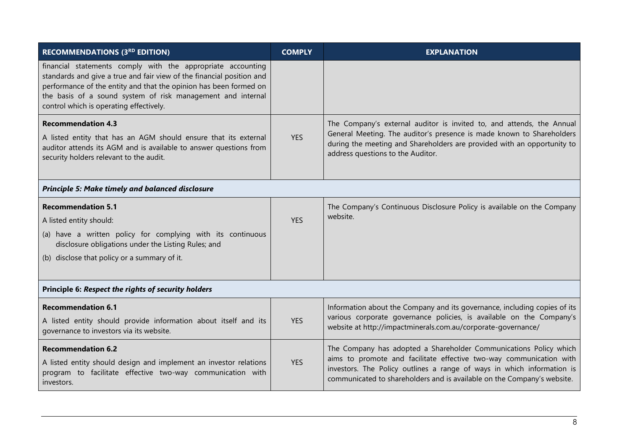| <b>RECOMMENDATIONS (3RD EDITION)</b>                                                                                                                                                                                                                                                                                | <b>COMPLY</b> | <b>EXPLANATION</b>                                                                                                                                                                                                                                                                            |
|---------------------------------------------------------------------------------------------------------------------------------------------------------------------------------------------------------------------------------------------------------------------------------------------------------------------|---------------|-----------------------------------------------------------------------------------------------------------------------------------------------------------------------------------------------------------------------------------------------------------------------------------------------|
| financial statements comply with the appropriate accounting<br>standards and give a true and fair view of the financial position and<br>performance of the entity and that the opinion has been formed on<br>the basis of a sound system of risk management and internal<br>control which is operating effectively. |               |                                                                                                                                                                                                                                                                                               |
| <b>Recommendation 4.3</b><br>A listed entity that has an AGM should ensure that its external<br>auditor attends its AGM and is available to answer questions from<br>security holders relevant to the audit.                                                                                                        | <b>YES</b>    | The Company's external auditor is invited to, and attends, the Annual<br>General Meeting. The auditor's presence is made known to Shareholders<br>during the meeting and Shareholders are provided with an opportunity to<br>address questions to the Auditor.                                |
| Principle 5: Make timely and balanced disclosure                                                                                                                                                                                                                                                                    |               |                                                                                                                                                                                                                                                                                               |
| <b>Recommendation 5.1</b><br>A listed entity should:<br>(a) have a written policy for complying with its continuous<br>disclosure obligations under the Listing Rules; and<br>(b) disclose that policy or a summary of it.                                                                                          | <b>YES</b>    | The Company's Continuous Disclosure Policy is available on the Company<br>website.                                                                                                                                                                                                            |
| Principle 6: Respect the rights of security holders                                                                                                                                                                                                                                                                 |               |                                                                                                                                                                                                                                                                                               |
| <b>Recommendation 6.1</b><br>A listed entity should provide information about itself and its<br>governance to investors via its website.                                                                                                                                                                            | <b>YES</b>    | Information about the Company and its governance, including copies of its<br>various corporate governance policies, is available on the Company's<br>website at http://impactminerals.com.au/corporate-governance/                                                                            |
| <b>Recommendation 6.2</b><br>A listed entity should design and implement an investor relations<br>program to facilitate effective two-way communication with<br>investors.                                                                                                                                          | <b>YES</b>    | The Company has adopted a Shareholder Communications Policy which<br>aims to promote and facilitate effective two-way communication with<br>investors. The Policy outlines a range of ways in which information is<br>communicated to shareholders and is available on the Company's website. |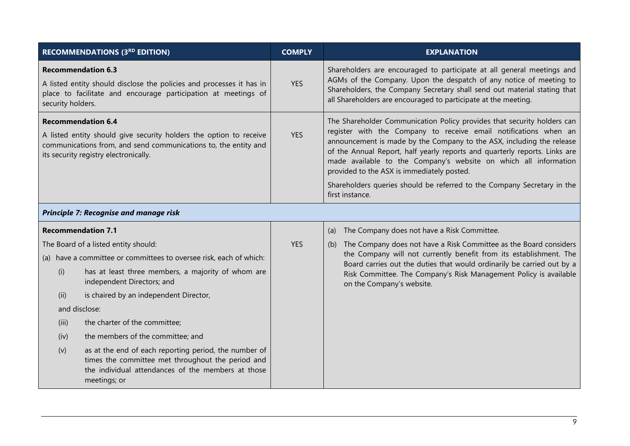|                   | <b>RECOMMENDATIONS (3RD EDITION)</b>                                                                                                                                                                        | <b>COMPLY</b> | <b>EXPLANATION</b>                                                                                                                                                                                                                                                                                                                                                                                                   |
|-------------------|-------------------------------------------------------------------------------------------------------------------------------------------------------------------------------------------------------------|---------------|----------------------------------------------------------------------------------------------------------------------------------------------------------------------------------------------------------------------------------------------------------------------------------------------------------------------------------------------------------------------------------------------------------------------|
| security holders. | <b>Recommendation 6.3</b><br>A listed entity should disclose the policies and processes it has in<br>place to facilitate and encourage participation at meetings of                                         | <b>YES</b>    | Shareholders are encouraged to participate at all general meetings and<br>AGMs of the Company. Upon the despatch of any notice of meeting to<br>Shareholders, the Company Secretary shall send out material stating that<br>all Shareholders are encouraged to participate at the meeting.                                                                                                                           |
|                   | <b>Recommendation 6.4</b><br>A listed entity should give security holders the option to receive<br>communications from, and send communications to, the entity and<br>its security registry electronically. | <b>YES</b>    | The Shareholder Communication Policy provides that security holders can<br>register with the Company to receive email notifications when an<br>announcement is made by the Company to the ASX, including the release<br>of the Annual Report, half yearly reports and quarterly reports. Links are<br>made available to the Company's website on which all information<br>provided to the ASX is immediately posted. |
|                   |                                                                                                                                                                                                             |               | Shareholders queries should be referred to the Company Secretary in the<br>first instance.                                                                                                                                                                                                                                                                                                                           |
|                   | Principle 7: Recognise and manage risk                                                                                                                                                                      |               |                                                                                                                                                                                                                                                                                                                                                                                                                      |
|                   | <b>Recommendation 7.1</b>                                                                                                                                                                                   |               | The Company does not have a Risk Committee.<br>(a)                                                                                                                                                                                                                                                                                                                                                                   |
|                   | The Board of a listed entity should:                                                                                                                                                                        | <b>YES</b>    | The Company does not have a Risk Committee as the Board considers<br>(b)                                                                                                                                                                                                                                                                                                                                             |
|                   | (a) have a committee or committees to oversee risk, each of which:                                                                                                                                          |               | the Company will not currently benefit from its establishment. The<br>Board carries out the duties that would ordinarily be carried out by a                                                                                                                                                                                                                                                                         |
| (i)               | has at least three members, a majority of whom are<br>independent Directors; and                                                                                                                            |               | Risk Committee. The Company's Risk Management Policy is available<br>on the Company's website.                                                                                                                                                                                                                                                                                                                       |
| (ii)              | is chaired by an independent Director,                                                                                                                                                                      |               |                                                                                                                                                                                                                                                                                                                                                                                                                      |
|                   | and disclose:                                                                                                                                                                                               |               |                                                                                                                                                                                                                                                                                                                                                                                                                      |
| (iii)             | the charter of the committee;                                                                                                                                                                               |               |                                                                                                                                                                                                                                                                                                                                                                                                                      |
| (iv)              | the members of the committee; and                                                                                                                                                                           |               |                                                                                                                                                                                                                                                                                                                                                                                                                      |
| (v)               | as at the end of each reporting period, the number of<br>times the committee met throughout the period and<br>the individual attendances of the members at those<br>meetings; or                            |               |                                                                                                                                                                                                                                                                                                                                                                                                                      |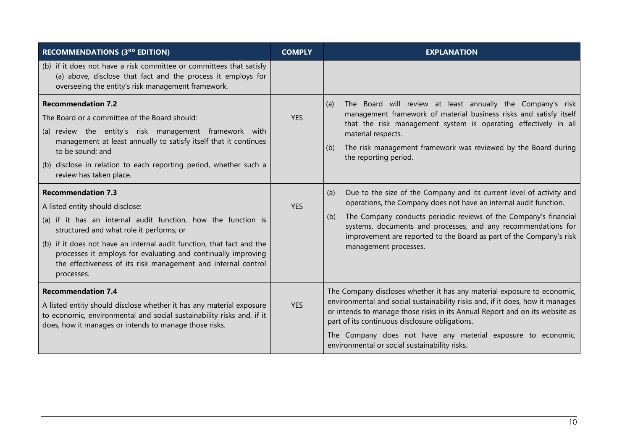| <b>RECOMMENDATIONS (3RD EDITION)</b>                                                                                                                                                                                                                                                                                                                                                                | <b>COMPLY</b> | <b>EXPLANATION</b>                                                                                                                                                                                                                                                                                                                                                                                         |
|-----------------------------------------------------------------------------------------------------------------------------------------------------------------------------------------------------------------------------------------------------------------------------------------------------------------------------------------------------------------------------------------------------|---------------|------------------------------------------------------------------------------------------------------------------------------------------------------------------------------------------------------------------------------------------------------------------------------------------------------------------------------------------------------------------------------------------------------------|
| (b) if it does not have a risk committee or committees that satisfy<br>(a) above, disclose that fact and the process it employs for<br>overseeing the entity's risk management framework.                                                                                                                                                                                                           |               |                                                                                                                                                                                                                                                                                                                                                                                                            |
| <b>Recommendation 7.2</b><br>The Board or a committee of the Board should:<br>(a) review the entity's risk management framework with<br>management at least annually to satisfy itself that it continues<br>to be sound; and<br>(b) disclose in relation to each reporting period, whether such a<br>review has taken place.                                                                        | <b>YES</b>    | The Board will review at least annually the Company's risk<br>(a)<br>management framework of material business risks and satisfy itself<br>that the risk management system is operating effectively in all<br>material respects.<br>The risk management framework was reviewed by the Board during<br>(b)<br>the reporting period.                                                                         |
| <b>Recommendation 7.3</b><br>A listed entity should disclose:<br>(a) if it has an internal audit function, how the function is<br>structured and what role it performs; or<br>(b) if it does not have an internal audit function, that fact and the<br>processes it employs for evaluating and continually improving<br>the effectiveness of its risk management and internal control<br>processes. | <b>YES</b>    | Due to the size of the Company and its current level of activity and<br>(a)<br>operations, the Company does not have an internal audit function.<br>The Company conducts periodic reviews of the Company's financial<br>(b)<br>systems, documents and processes, and any recommendations for<br>improvement are reported to the Board as part of the Company's risk<br>management processes.               |
| <b>Recommendation 7.4</b><br>A listed entity should disclose whether it has any material exposure<br>to economic, environmental and social sustainability risks and, if it<br>does, how it manages or intends to manage those risks.                                                                                                                                                                | <b>YES</b>    | The Company discloses whether it has any material exposure to economic,<br>environmental and social sustainability risks and, if it does, how it manages<br>or intends to manage those risks in its Annual Report and on its website as<br>part of its continuous disclosure obligations.<br>The Company does not have any material exposure to economic,<br>environmental or social sustainability risks. |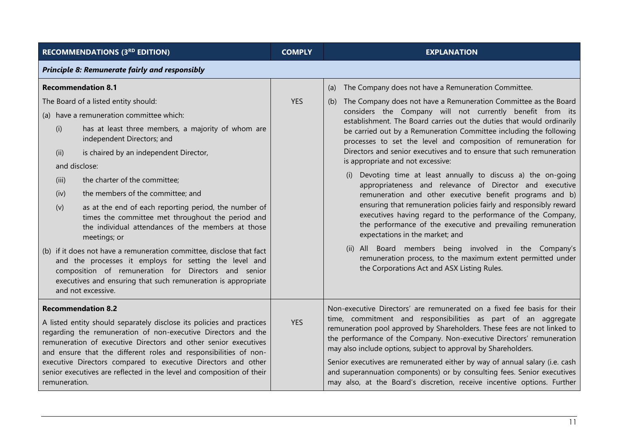| <b>RECOMMENDATIONS (3RD EDITION)</b>                                                                                                                                                                                                                                                                                                                                                                                                                                                                                                                                                                                                                                                                                                                                                                                                           | <b>COMPLY</b> | <b>EXPLANATION</b>                                                                                                                                                                                                                                                                                                                                                                                                                                                                                                                                                                                                                                                                                                                                                                                                                                                                                                                                                                                                                                                                                                                      |  |
|------------------------------------------------------------------------------------------------------------------------------------------------------------------------------------------------------------------------------------------------------------------------------------------------------------------------------------------------------------------------------------------------------------------------------------------------------------------------------------------------------------------------------------------------------------------------------------------------------------------------------------------------------------------------------------------------------------------------------------------------------------------------------------------------------------------------------------------------|---------------|-----------------------------------------------------------------------------------------------------------------------------------------------------------------------------------------------------------------------------------------------------------------------------------------------------------------------------------------------------------------------------------------------------------------------------------------------------------------------------------------------------------------------------------------------------------------------------------------------------------------------------------------------------------------------------------------------------------------------------------------------------------------------------------------------------------------------------------------------------------------------------------------------------------------------------------------------------------------------------------------------------------------------------------------------------------------------------------------------------------------------------------------|--|
| <b>Principle 8: Remunerate fairly and responsibly</b>                                                                                                                                                                                                                                                                                                                                                                                                                                                                                                                                                                                                                                                                                                                                                                                          |               |                                                                                                                                                                                                                                                                                                                                                                                                                                                                                                                                                                                                                                                                                                                                                                                                                                                                                                                                                                                                                                                                                                                                         |  |
| <b>Recommendation 8.1</b><br>The Board of a listed entity should:<br>(a) have a remuneration committee which:<br>has at least three members, a majority of whom are<br>(i)<br>independent Directors; and<br>is chaired by an independent Director,<br>(ii)<br>and disclose:<br>the charter of the committee;<br>(iii)<br>the members of the committee; and<br>(iv)<br>as at the end of each reporting period, the number of<br>(v)<br>times the committee met throughout the period and<br>the individual attendances of the members at those<br>meetings; or<br>(b) if it does not have a remuneration committee, disclose that fact<br>and the processes it employs for setting the level and<br>composition of remuneration for Directors and senior<br>executives and ensuring that such remuneration is appropriate<br>and not excessive. | <b>YES</b>    | The Company does not have a Remuneration Committee.<br>(a)<br>The Company does not have a Remuneration Committee as the Board<br>(b)<br>considers the Company will not currently benefit from its<br>establishment. The Board carries out the duties that would ordinarily<br>be carried out by a Remuneration Committee including the following<br>processes to set the level and composition of remuneration for<br>Directors and senior executives and to ensure that such remuneration<br>is appropriate and not excessive:<br>(i) Devoting time at least annually to discuss a) the on-going<br>appropriateness and relevance of Director and executive<br>remuneration and other executive benefit programs and b)<br>ensuring that remuneration policies fairly and responsibly reward<br>executives having regard to the performance of the Company,<br>the performance of the executive and prevailing remuneration<br>expectations in the market; and<br>(ii) All Board members being involved in the Company's<br>remuneration process, to the maximum extent permitted under<br>the Corporations Act and ASX Listing Rules. |  |
| <b>Recommendation 8.2</b><br>A listed entity should separately disclose its policies and practices<br>regarding the remuneration of non-executive Directors and the<br>remuneration of executive Directors and other senior executives<br>and ensure that the different roles and responsibilities of non-<br>executive Directors compared to executive Directors and other<br>senior executives are reflected in the level and composition of their<br>remuneration.                                                                                                                                                                                                                                                                                                                                                                          | <b>YES</b>    | Non-executive Directors' are remunerated on a fixed fee basis for their<br>time, commitment and responsibilities as part of an aggregate<br>remuneration pool approved by Shareholders. These fees are not linked to<br>the performance of the Company. Non-executive Directors' remuneration<br>may also include options, subject to approval by Shareholders.<br>Senior executives are remunerated either by way of annual salary (i.e. cash<br>and superannuation components) or by consulting fees. Senior executives<br>may also, at the Board's discretion, receive incentive options. Further                                                                                                                                                                                                                                                                                                                                                                                                                                                                                                                                    |  |